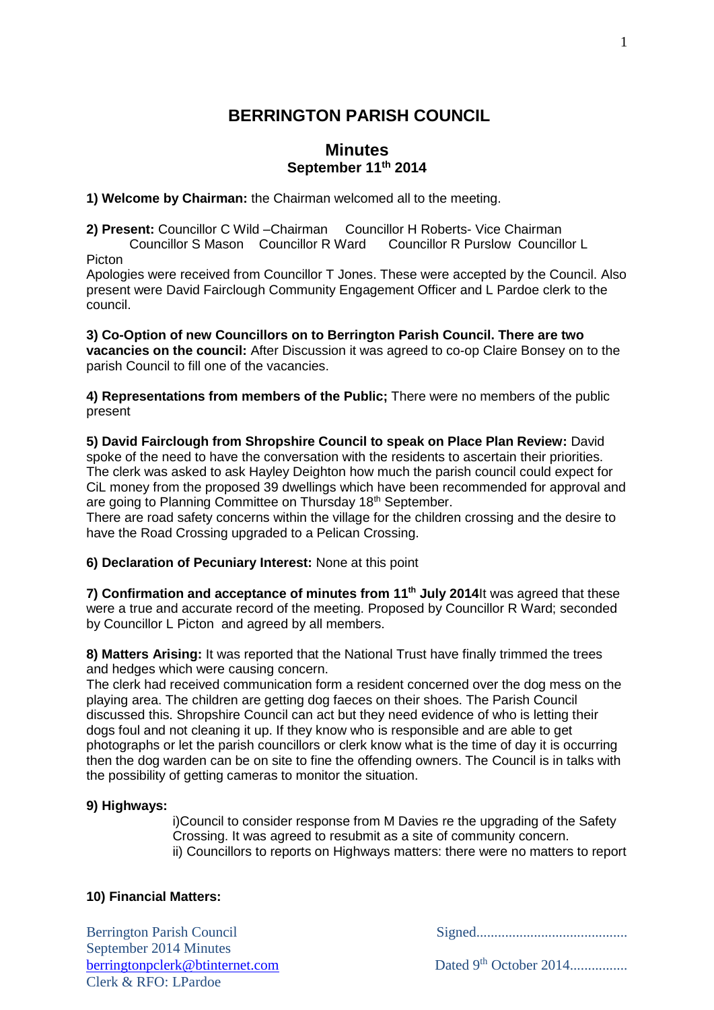# **BERRINGTON PARISH COUNCIL**

### **Minutes September 11th 2014**

**1) Welcome by Chairman:** the Chairman welcomed all to the meeting.

**2) Present:** Councillor C Wild –Chairman Councillor H Roberts- Vice Chairman Councillor S Mason Councillor R Ward Councillor R Purslow Councillor L Picton

Apologies were received from Councillor T Jones. These were accepted by the Council. Also present were David Fairclough Community Engagement Officer and L Pardoe clerk to the council.

**3) Co-Option of new Councillors on to Berrington Parish Council. There are two vacancies on the council:** After Discussion it was agreed to co-op Claire Bonsey on to the parish Council to fill one of the vacancies.

**4) Representations from members of the Public;** There were no members of the public present

**5) David Fairclough from Shropshire Council to speak on Place Plan Review:** David spoke of the need to have the conversation with the residents to ascertain their priorities. The clerk was asked to ask Hayley Deighton how much the parish council could expect for CiL money from the proposed 39 dwellings which have been recommended for approval and are going to Planning Committee on Thursday 18<sup>th</sup> September.

There are road safety concerns within the village for the children crossing and the desire to have the Road Crossing upgraded to a Pelican Crossing.

**6) Declaration of Pecuniary Interest:** None at this point

7) Confirmation and acceptance of minutes from 11<sup>th</sup> July 2014It was agreed that these were a true and accurate record of the meeting. Proposed by Councillor R Ward; seconded by Councillor L Picton and agreed by all members.

**8) Matters Arising:** It was reported that the National Trust have finally trimmed the trees and hedges which were causing concern.

The clerk had received communication form a resident concerned over the dog mess on the playing area. The children are getting dog faeces on their shoes. The Parish Council discussed this. Shropshire Council can act but they need evidence of who is letting their dogs foul and not cleaning it up. If they know who is responsible and are able to get photographs or let the parish councillors or clerk know what is the time of day it is occurring then the dog warden can be on site to fine the offending owners. The Council is in talks with the possibility of getting cameras to monitor the situation.

#### **9) Highways:**

i)Council to consider response from M Davies re the upgrading of the Safety Crossing. It was agreed to resubmit as a site of community concern. ii) Councillors to reports on Highways matters: there were no matters to report

#### **10) Financial Matters:**

Berrington Parish Council Signed.......................................... September 2014 Minutes [berringtonpclerk@btinternet.com](mailto:berringtonpclerk@btinternet.com) Dated 9<sup>th</sup> October 2014.......................... Clerk & RFO: LPardoe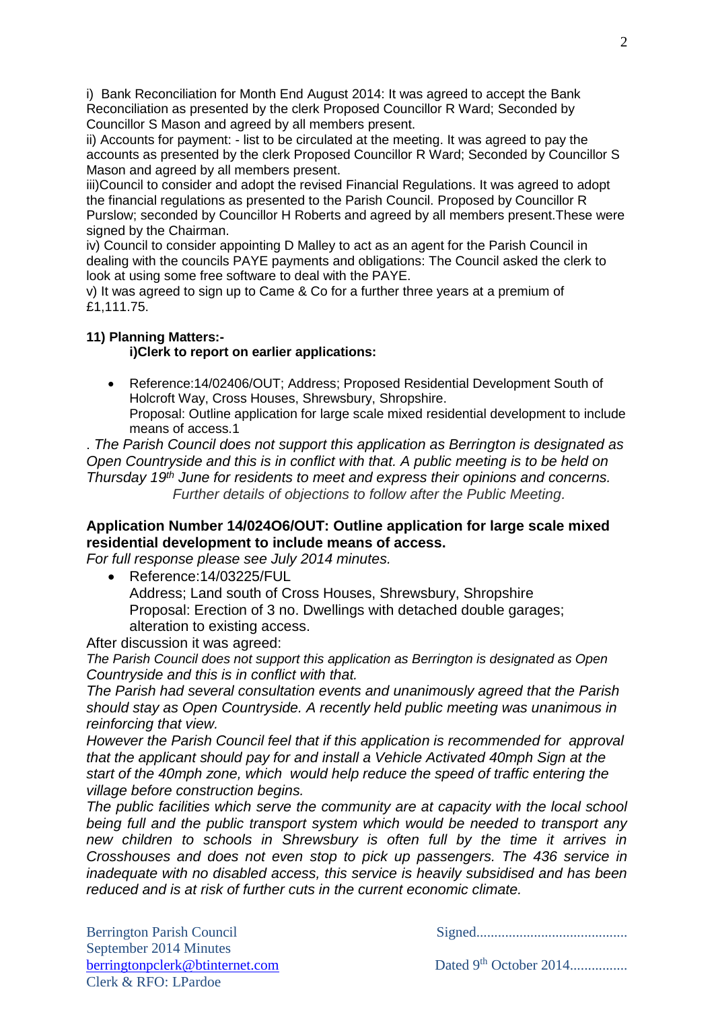i) Bank Reconciliation for Month End August 2014: It was agreed to accept the Bank Reconciliation as presented by the clerk Proposed Councillor R Ward; Seconded by Councillor S Mason and agreed by all members present.

ii) Accounts for payment: - list to be circulated at the meeting. It was agreed to pay the accounts as presented by the clerk Proposed Councillor R Ward; Seconded by Councillor S Mason and agreed by all members present.

iii)Council to consider and adopt the revised Financial Regulations. It was agreed to adopt the financial regulations as presented to the Parish Council. Proposed by Councillor R Purslow; seconded by Councillor H Roberts and agreed by all members present.These were signed by the Chairman.

iv) Council to consider appointing D Malley to act as an agent for the Parish Council in dealing with the councils PAYE payments and obligations: The Council asked the clerk to look at using some free software to deal with the PAYE.

v) It was agreed to sign up to Came & Co for a further three years at a premium of £1,111.75.

#### **11) Planning Matters:-**

### **i)Clerk to report on earlier applications:**

 Reference:14/02406/OUT; Address; Proposed Residential Development South of Holcroft Way, Cross Houses, Shrewsbury, Shropshire. Proposal: Outline application for large scale mixed residential development to include means of access.1

. *The Parish Council does not support this application as Berrington is designated as Open Countryside and this is in conflict with that. A public meeting is to be held on Thursday 19th June for residents to meet and express their opinions and concerns. Further details of objections to follow after the Public Meeting.*

## **Application Number 14/024O6/OUT: Outline application for large scale mixed residential development to include means of access.**

*For full response please see July 2014 minutes.*

 Reference:14/03225/FUL Address; Land south of Cross Houses, Shrewsbury, Shropshire Proposal: Erection of 3 no. Dwellings with detached double garages; alteration to existing access.

After discussion it was agreed:

*The Parish Council does not support this application as Berrington is designated as Open Countryside and this is in conflict with that.* 

*The Parish had several consultation events and unanimously agreed that the Parish should stay as Open Countryside. A recently held public meeting was unanimous in reinforcing that view.*

*However the Parish Council feel that if this application is recommended for approval that the applicant should pay for and install a Vehicle Activated 40mph Sign at the start of the 40mph zone, which would help reduce the speed of traffic entering the village before construction begins.*

*The public facilities which serve the community are at capacity with the local school being full and the public transport system which would be needed to transport any new children to schools in Shrewsbury is often full by the time it arrives in Crosshouses and does not even stop to pick up passengers. The 436 service in inadequate with no disabled access, this service is heavily subsidised and has been reduced and is at risk of further cuts in the current economic climate.*

Berrington Parish Council Signed..........................................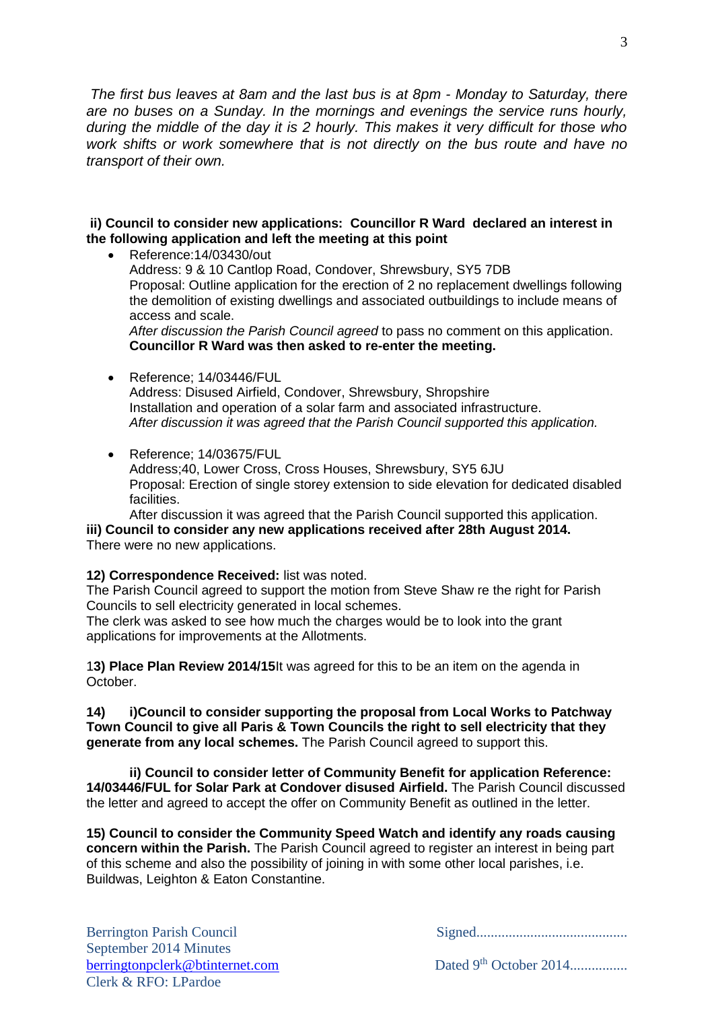*The first bus leaves at 8am and the last bus is at 8pm - Monday to Saturday, there are no buses on a Sunday. In the mornings and evenings the service runs hourly, during the middle of the day it is 2 hourly. This makes it very difficult for those who work shifts or work somewhere that is not directly on the bus route and have no transport of their own.*

#### **ii) Council to consider new applications: Councillor R Ward declared an interest in the following application and left the meeting at this point**

 Reference:14/03430/out Address: 9 & 10 Cantlop Road, Condover, Shrewsbury, SY5 7DB Proposal: Outline application for the erection of 2 no replacement dwellings following the demolition of existing dwellings and associated outbuildings to include means of access and scale. *After discussion the Parish Council agreed* to pass no comment on this application. **Councillor R Ward was then asked to re-enter the meeting.**

- Reference: 14/03446/FUL Address: Disused Airfield, Condover, Shrewsbury, Shropshire Installation and operation of a solar farm and associated infrastructure. *After discussion it was agreed that the Parish Council supported this application.*
- Reference: 14/03675/FUL

Address;40, Lower Cross, Cross Houses, Shrewsbury, SY5 6JU Proposal: Erection of single storey extension to side elevation for dedicated disabled facilities.

After discussion it was agreed that the Parish Council supported this application. **iii) Council to consider any new applications received after 28th August 2014.** There were no new applications.

#### **12) Correspondence Received:** list was noted.

The Parish Council agreed to support the motion from Steve Shaw re the right for Parish Councils to sell electricity generated in local schemes.

The clerk was asked to see how much the charges would be to look into the grant applications for improvements at the Allotments.

1**3) Place Plan Review 2014/15**It was agreed for this to be an item on the agenda in October.

**14) i)Council to consider supporting the proposal from Local Works to Patchway Town Council to give all Paris & Town Councils the right to sell electricity that they generate from any local schemes.** The Parish Council agreed to support this.

**ii) Council to consider letter of Community Benefit for application Reference: 14/03446/FUL for Solar Park at Condover disused Airfield.** The Parish Council discussed the letter and agreed to accept the offer on Community Benefit as outlined in the letter.

**15) Council to consider the Community Speed Watch and identify any roads causing concern within the Parish.** The Parish Council agreed to register an interest in being part of this scheme and also the possibility of joining in with some other local parishes, i.e. Buildwas, Leighton & Eaton Constantine.

September 2014 Minutes [berringtonpclerk@btinternet.com](mailto:berringtonpclerk@btinternet.com) Dated 9<sup>th</sup> October 2014.......................... Clerk & RFO: LPardoe

Berrington Parish Council Signed..........................................